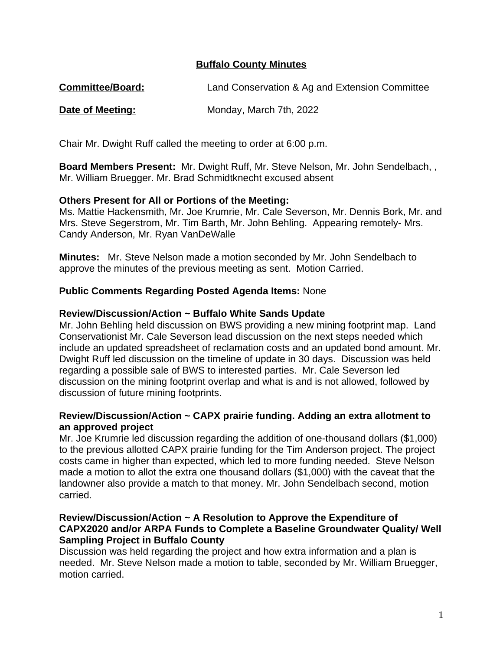# **Buffalo County Minutes**

**Committee/Board:** Land Conservation & Ag and Extension Committee

### **Date of Meeting:** Monday, March 7th, 2022

Chair Mr. Dwight Ruff called the meeting to order at 6:00 p.m.

**Board Members Present:** Mr. Dwight Ruff, Mr. Steve Nelson, Mr. John Sendelbach, , Mr. William Bruegger. Mr. Brad Schmidtknecht excused absent

# **Others Present for All or Portions of the Meeting:**

Ms. Mattie Hackensmith, Mr. Joe Krumrie, Mr. Cale Severson, Mr. Dennis Bork, Mr. and Mrs. Steve Segerstrom, Mr. Tim Barth, Mr. John Behling. Appearing remotely- Mrs. Candy Anderson, Mr. Ryan VanDeWalle

**Minutes:** Mr. Steve Nelson made a motion seconded by Mr. John Sendelbach to approve the minutes of the previous meeting as sent. Motion Carried.

# **Public Comments Regarding Posted Agenda Items:** None

### **Review/Discussion/Action ~ Buffalo White Sands Update**

Mr. John Behling held discussion on BWS providing a new mining footprint map. Land Conservationist Mr. Cale Severson lead discussion on the next steps needed which include an updated spreadsheet of reclamation costs and an updated bond amount. Mr. Dwight Ruff led discussion on the timeline of update in 30 days. Discussion was held regarding a possible sale of BWS to interested parties. Mr. Cale Severson led discussion on the mining footprint overlap and what is and is not allowed, followed by discussion of future mining footprints.

### **Review/Discussion/Action ~ CAPX prairie funding. Adding an extra allotment to an approved project**

Mr. Joe Krumrie led discussion regarding the addition of one-thousand dollars (\$1,000) to the previous allotted CAPX prairie funding for the Tim Anderson project. The project costs came in higher than expected, which led to more funding needed. Steve Nelson made a motion to allot the extra one thousand dollars (\$1,000) with the caveat that the landowner also provide a match to that money. Mr. John Sendelbach second, motion carried.

# **Review/Discussion/Action ~ A Resolution to Approve the Expenditure of CAPX2020 and/or ARPA Funds to Complete a Baseline Groundwater Quality/ Well Sampling Project in Buffalo County**

Discussion was held regarding the project and how extra information and a plan is needed. Mr. Steve Nelson made a motion to table, seconded by Mr. William Bruegger, motion carried.